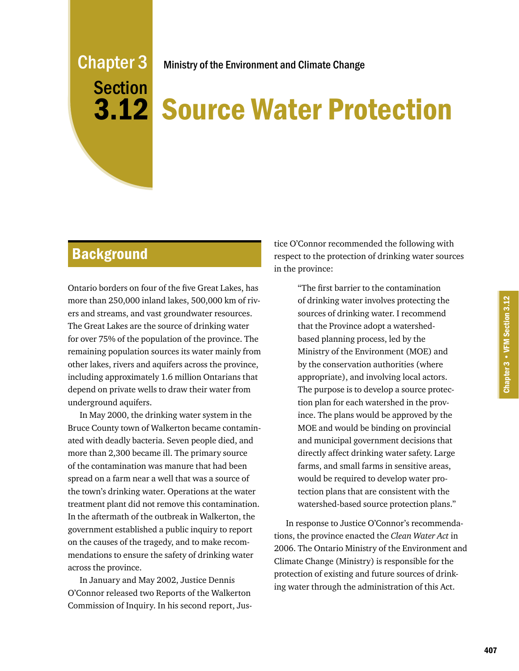# Chapter 3 **Section**

Ministry of the Environment and Climate Change

# **3.12 Source Water Protection**

# **Background**

Ontario borders on four of the five Great Lakes, has more than 250,000 inland lakes, 500,000 km of rivers and streams, and vast groundwater resources. The Great Lakes are the source of drinking water for over 75% of the population of the province. The remaining population sources its water mainly from other lakes, rivers and aquifers across the province, including approximately 1.6 million Ontarians that depend on private wells to draw their water from underground aquifers.

In May 2000, the drinking water system in the Bruce County town of Walkerton became contaminated with deadly bacteria. Seven people died, and more than 2,300 became ill. The primary source of the contamination was manure that had been spread on a farm near a well that was a source of the town's drinking water. Operations at the water treatment plant did not remove this contamination. In the aftermath of the outbreak in Walkerton, the government established a public inquiry to report on the causes of the tragedy, and to make recommendations to ensure the safety of drinking water across the province.

In January and May 2002, Justice Dennis O'Connor released two Reports of the Walkerton Commission of Inquiry. In his second report, Jus-

tice O'Connor recommended the following with respect to the protection of drinking water sources in the province:

> "The first barrier to the contamination of drinking water involves protecting the sources of drinking water. I recommend that the Province adopt a watershedbased planning process, led by the Ministry of the Environment (MOE) and by the conservation authorities (where appropriate), and involving local actors. The purpose is to develop a source protection plan for each watershed in the province. The plans would be approved by the MOE and would be binding on provincial and municipal government decisions that directly affect drinking water safety. Large farms, and small farms in sensitive areas, would be required to develop water protection plans that are consistent with the watershed-based source protection plans."

In response to Justice O'Connor's recommendations, the province enacted the *Clean Water Act* in 2006. The Ontario Ministry of the Environment and Climate Change (Ministry) is responsible for the protection of existing and future sources of drinking water through the administration of this Act.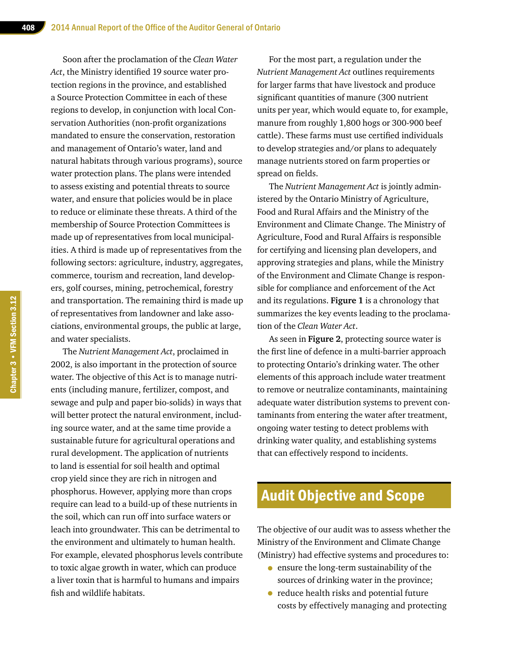Soon after the proclamation of the *Clean Water Act*, the Ministry identified 19 source water protection regions in the province, and established a Source Protection Committee in each of these regions to develop, in conjunction with local Conservation Authorities (non-profit organizations mandated to ensure the conservation, restoration and management of Ontario's water, land and natural habitats through various programs), source water protection plans. The plans were intended to assess existing and potential threats to source water, and ensure that policies would be in place to reduce or eliminate these threats. A third of the membership of Source Protection Committees is made up of representatives from local municipalities. A third is made up of representatives from the following sectors: agriculture, industry, aggregates, commerce, tourism and recreation, land developers, golf courses, mining, petrochemical, forestry and transportation. The remaining third is made up of representatives from landowner and lake associations, environmental groups, the public at large, and water specialists.

The *Nutrient Management Act*, proclaimed in 2002, is also important in the protection of source water. The objective of this Act is to manage nutrients (including manure, fertilizer, compost, and sewage and pulp and paper bio-solids) in ways that will better protect the natural environment, including source water, and at the same time provide a sustainable future for agricultural operations and rural development. The application of nutrients to land is essential for soil health and optimal crop yield since they are rich in nitrogen and phosphorus. However, applying more than crops require can lead to a build-up of these nutrients in the soil, which can run off into surface waters or leach into groundwater. This can be detrimental to the environment and ultimately to human health. For example, elevated phosphorus levels contribute to toxic algae growth in water, which can produce a liver toxin that is harmful to humans and impairs fish and wildlife habitats.

For the most part, a regulation under the *Nutrient Management Act* outlines requirements for larger farms that have livestock and produce significant quantities of manure (300 nutrient units per year, which would equate to, for example, manure from roughly 1,800 hogs or 300-900 beef cattle). These farms must use certified individuals to develop strategies and/or plans to adequately manage nutrients stored on farm properties or spread on fields.

The *Nutrient Management Act* is jointly administered by the Ontario Ministry of Agriculture, Food and Rural Affairs and the Ministry of the Environment and Climate Change. The Ministry of Agriculture, Food and Rural Affairs is responsible for certifying and licensing plan developers, and approving strategies and plans, while the Ministry of the Environment and Climate Change is responsible for compliance and enforcement of the Act and its regulations. **Figure 1** is a chronology that summarizes the key events leading to the proclamation of the *Clean Water Act*.

As seen in **Figure 2**, protecting source water is the first line of defence in a multi-barrier approach to protecting Ontario's drinking water. The other elements of this approach include water treatment to remove or neutralize contaminants, maintaining adequate water distribution systems to prevent contaminants from entering the water after treatment, ongoing water testing to detect problems with drinking water quality, and establishing systems that can effectively respond to incidents.

# Audit Objective and Scope

The objective of our audit was to assess whether the Ministry of the Environment and Climate Change (Ministry) had effective systems and procedures to:

- ensure the long-term sustainability of the sources of drinking water in the province;
- reduce health risks and potential future costs by effectively managing and protecting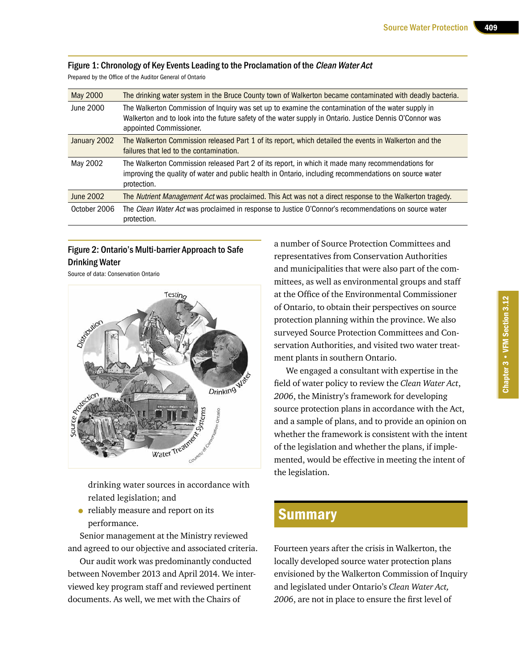#### Figure 1: Chronology of Key Events Leading to the Proclamation of the Clean Water Act

Prepared by the Office of the Auditor General of Ontario

| May 2000     | The drinking water system in the Bruce County town of Walkerton became contaminated with deadly bacteria.                                                                                                                                 |
|--------------|-------------------------------------------------------------------------------------------------------------------------------------------------------------------------------------------------------------------------------------------|
| June 2000    | The Walkerton Commission of Inquiry was set up to examine the contamination of the water supply in<br>Walkerton and to look into the future safety of the water supply in Ontario. Justice Dennis O'Connor was<br>appointed Commissioner. |
| January 2002 | The Walkerton Commission released Part 1 of its report, which detailed the events in Walkerton and the<br>failures that led to the contamination.                                                                                         |
| May 2002     | The Walkerton Commission released Part 2 of its report, in which it made many recommendations for<br>improving the quality of water and public health in Ontario, including recommendations on source water<br>protection.                |
| June 2002    | The <i>Nutrient Management Act</i> was proclaimed. This Act was not a direct response to the Walkerton tragedy.                                                                                                                           |
| October 2006 | The Clean Water Act was proclaimed in response to Justice O'Connor's recommendations on source water<br>protection.                                                                                                                       |

#### Figure 2: Ontario's Multi-barrier Approach to Safe Drinking Water

Source of data: Conservation Ontario



drinking water sources in accordance with related legislation; and

• reliably measure and report on its performance.

Senior management at the Ministry reviewed and agreed to our objective and associated criteria.

Our audit work was predominantly conducted between November 2013 and April 2014. We interviewed key program staff and reviewed pertinent documents. As well, we met with the Chairs of

a number of Source Protection Committees and representatives from Conservation Authorities and municipalities that were also part of the committees, as well as environmental groups and staff at the Office of the Environmental Commissioner of Ontario, to obtain their perspectives on source protection planning within the province. We also surveyed Source Protection Committees and Conservation Authorities, and visited two water treatment plants in southern Ontario.

We engaged a consultant with expertise in the field of water policy to review the *Clean Water Act*, *2006*, the Ministry's framework for developing source protection plans in accordance with the Act, and a sample of plans, and to provide an opinion on whether the framework is consistent with the intent of the legislation and whether the plans, if implemented, would be effective in meeting the intent of the legislation.

# Summary

Fourteen years after the crisis in Walkerton, the locally developed source water protection plans envisioned by the Walkerton Commission of Inquiry and legislated under Ontario's *Clean Water Act, 2006*, are not in place to ensure the first level of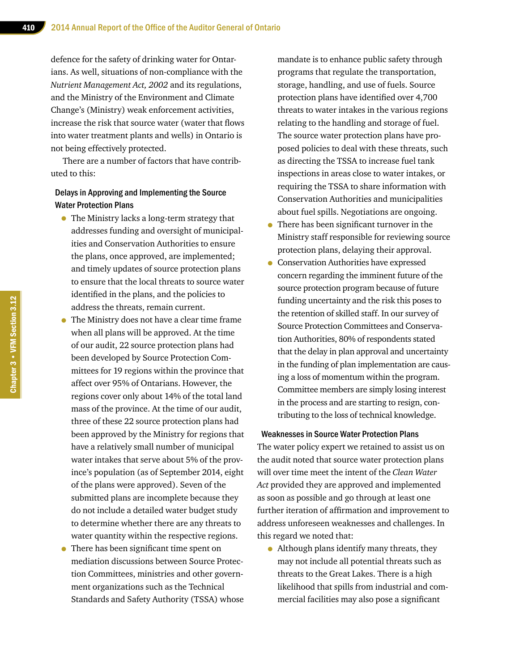defence for the safety of drinking water for Ontarians. As well, situations of non-compliance with the *Nutrient Management Act, 2002* and its regulations, and the Ministry of the Environment and Climate Change's (Ministry) weak enforcement activities, increase the risk that source water (water that flows into water treatment plants and wells) in Ontario is not being effectively protected.

There are a number of factors that have contributed to this:

#### Delays in Approving and Implementing the Source Water Protection Plans

- The Ministry lacks a long-term strategy that addresses funding and oversight of municipalities and Conservation Authorities to ensure the plans, once approved, are implemented; and timely updates of source protection plans to ensure that the local threats to source water identified in the plans, and the policies to address the threats, remain current.
- The Ministry does not have a clear time frame when all plans will be approved. At the time of our audit, 22 source protection plans had been developed by Source Protection Committees for 19 regions within the province that affect over 95% of Ontarians. However, the regions cover only about 14% of the total land mass of the province. At the time of our audit, three of these 22 source protection plans had been approved by the Ministry for regions that have a relatively small number of municipal water intakes that serve about 5% of the province's population (as of September 2014, eight of the plans were approved). Seven of the submitted plans are incomplete because they do not include a detailed water budget study to determine whether there are any threats to water quantity within the respective regions.
- There has been significant time spent on mediation discussions between Source Protection Committees, ministries and other government organizations such as the Technical Standards and Safety Authority (TSSA) whose

mandate is to enhance public safety through programs that regulate the transportation, storage, handling, and use of fuels. Source protection plans have identified over 4,700 threats to water intakes in the various regions relating to the handling and storage of fuel. The source water protection plans have proposed policies to deal with these threats, such as directing the TSSA to increase fuel tank inspections in areas close to water intakes, or requiring the TSSA to share information with Conservation Authorities and municipalities about fuel spills. Negotiations are ongoing.

- There has been significant turnover in the Ministry staff responsible for reviewing source protection plans, delaying their approval.
- Conservation Authorities have expressed concern regarding the imminent future of the source protection program because of future funding uncertainty and the risk this poses to the retention of skilled staff. In our survey of Source Protection Committees and Conservation Authorities, 80% of respondents stated that the delay in plan approval and uncertainty in the funding of plan implementation are causing a loss of momentum within the program. Committee members are simply losing interest in the process and are starting to resign, contributing to the loss of technical knowledge.

#### Weaknesses in Source Water Protection Plans

The water policy expert we retained to assist us on the audit noted that source water protection plans will over time meet the intent of the *Clean Water Act* provided they are approved and implemented as soon as possible and go through at least one further iteration of affirmation and improvement to address unforeseen weaknesses and challenges. In this regard we noted that:

• Although plans identify many threats, they may not include all potential threats such as threats to the Great Lakes. There is a high likelihood that spills from industrial and commercial facilities may also pose a significant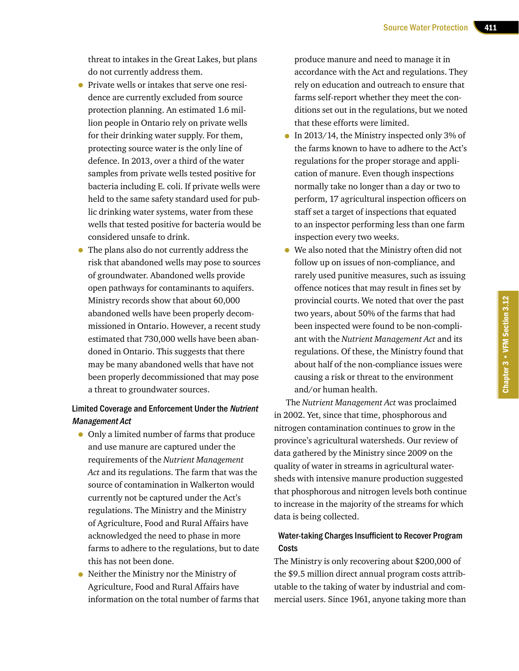threat to intakes in the Great Lakes, but plans do not currently address them.

- Private wells or intakes that serve one residence are currently excluded from source protection planning. An estimated 1.6 million people in Ontario rely on private wells for their drinking water supply. For them, protecting source water is the only line of defence. In 2013, over a third of the water samples from private wells tested positive for bacteria including E. coli. If private wells were held to the same safety standard used for public drinking water systems, water from these wells that tested positive for bacteria would be considered unsafe to drink.
- The plans also do not currently address the risk that abandoned wells may pose to sources of groundwater. Abandoned wells provide open pathways for contaminants to aquifers. Ministry records show that about 60,000 abandoned wells have been properly decommissioned in Ontario. However, a recent study estimated that 730,000 wells have been abandoned in Ontario. This suggests that there may be many abandoned wells that have not been properly decommissioned that may pose a threat to groundwater sources.

#### Limited Coverage and Enforcement Under the Nutrient Management Act

- Only a limited number of farms that produce and use manure are captured under the requirements of the *Nutrient Management Act* and its regulations. The farm that was the source of contamination in Walkerton would currently not be captured under the Act's regulations. The Ministry and the Ministry of Agriculture, Food and Rural Affairs have acknowledged the need to phase in more farms to adhere to the regulations, but to date this has not been done.
- Neither the Ministry nor the Ministry of Agriculture, Food and Rural Affairs have information on the total number of farms that

produce manure and need to manage it in accordance with the Act and regulations. They rely on education and outreach to ensure that farms self-report whether they meet the conditions set out in the regulations, but we noted that these efforts were limited.

- In 2013/14, the Ministry inspected only 3% of the farms known to have to adhere to the Act's regulations for the proper storage and application of manure. Even though inspections normally take no longer than a day or two to perform, 17 agricultural inspection officers on staff set a target of inspections that equated to an inspector performing less than one farm inspection every two weeks.
- We also noted that the Ministry often did not follow up on issues of non-compliance, and rarely used punitive measures, such as issuing offence notices that may result in fines set by provincial courts. We noted that over the past two years, about 50% of the farms that had been inspected were found to be non-compliant with the *Nutrient Management Act* and its regulations. Of these, the Ministry found that about half of the non-compliance issues were causing a risk or threat to the environment and/or human health.

The *Nutrient Management Act* was proclaimed in 2002. Yet, since that time, phosphorous and nitrogen contamination continues to grow in the province's agricultural watersheds. Our review of data gathered by the Ministry since 2009 on the quality of water in streams in agricultural watersheds with intensive manure production suggested that phosphorous and nitrogen levels both continue to increase in the majority of the streams for which data is being collected.

#### Water-taking Charges Insufficient to Recover Program **Costs**

The Ministry is only recovering about \$200,000 of the \$9.5 million direct annual program costs attributable to the taking of water by industrial and commercial users. Since 1961, anyone taking more than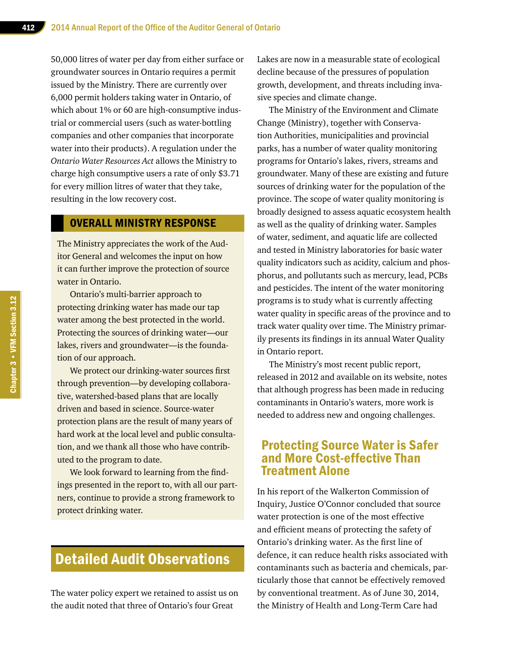50,000 litres of water per day from either surface or groundwater sources in Ontario requires a permit issued by the Ministry. There are currently over 6,000 permit holders taking water in Ontario, of which about 1% or 60 are high-consumptive industrial or commercial users (such as water-bottling companies and other companies that incorporate water into their products). A regulation under the *Ontario Water Resources Act* allows the Ministry to charge high consumptive users a rate of only \$3.71 for every million litres of water that they take, resulting in the low recovery cost.

#### OVERALL MINISTRY RESPONSE

The Ministry appreciates the work of the Auditor General and welcomes the input on how it can further improve the protection of source water in Ontario.

Ontario's multi-barrier approach to protecting drinking water has made our tap water among the best protected in the world. Protecting the sources of drinking water—our lakes, rivers and groundwater—is the foundation of our approach.

We protect our drinking-water sources first through prevention—by developing collaborative, watershed-based plans that are locally driven and based in science. Source-water protection plans are the result of many years of hard work at the local level and public consultation, and we thank all those who have contributed to the program to date.

We look forward to learning from the findings presented in the report to, with all our partners, continue to provide a strong framework to protect drinking water.

# Detailed Audit Observations

The water policy expert we retained to assist us on the audit noted that three of Ontario's four Great

Lakes are now in a measurable state of ecological decline because of the pressures of population growth, development, and threats including invasive species and climate change.

The Ministry of the Environment and Climate Change (Ministry), together with Conservation Authorities, municipalities and provincial parks, has a number of water quality monitoring programs for Ontario's lakes, rivers, streams and groundwater. Many of these are existing and future sources of drinking water for the population of the province. The scope of water quality monitoring is broadly designed to assess aquatic ecosystem health as well as the quality of drinking water. Samples of water, sediment, and aquatic life are collected and tested in Ministry laboratories for basic water quality indicators such as acidity, calcium and phosphorus, and pollutants such as mercury, lead, PCBs and pesticides. The intent of the water monitoring programs is to study what is currently affecting water quality in specific areas of the province and to track water quality over time. The Ministry primarily presents its findings in its annual Water Quality in Ontario report.

The Ministry's most recent public report, released in 2012 and available on its website, notes that although progress has been made in reducing contaminants in Ontario's waters, more work is needed to address new and ongoing challenges.

# Protecting Source Water is Safer and More Cost-effective Than Treatment Alone

In his report of the Walkerton Commission of Inquiry, Justice O'Connor concluded that source water protection is one of the most effective and efficient means of protecting the safety of Ontario's drinking water. As the first line of defence, it can reduce health risks associated with contaminants such as bacteria and chemicals, particularly those that cannot be effectively removed by conventional treatment. As of June 30, 2014, the Ministry of Health and Long-Term Care had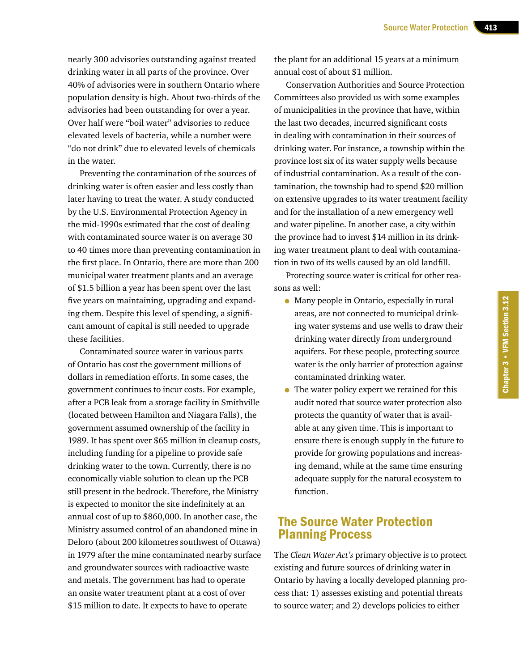nearly 300 advisories outstanding against treated drinking water in all parts of the province. Over 40% of advisories were in southern Ontario where population density is high. About two-thirds of the advisories had been outstanding for over a year. Over half were "boil water" advisories to reduce elevated levels of bacteria, while a number were "do not drink" due to elevated levels of chemicals in the water.

Preventing the contamination of the sources of drinking water is often easier and less costly than later having to treat the water. A study conducted by the U.S. Environmental Protection Agency in the mid-1990s estimated that the cost of dealing with contaminated source water is on average 30 to 40 times more than preventing contamination in the first place. In Ontario, there are more than 200 municipal water treatment plants and an average of \$1.5 billion a year has been spent over the last five years on maintaining, upgrading and expanding them. Despite this level of spending, a significant amount of capital is still needed to upgrade these facilities.

Contaminated source water in various parts of Ontario has cost the government millions of dollars in remediation efforts. In some cases, the government continues to incur costs. For example, after a PCB leak from a storage facility in Smithville (located between Hamilton and Niagara Falls), the government assumed ownership of the facility in 1989. It has spent over \$65 million in cleanup costs, including funding for a pipeline to provide safe drinking water to the town. Currently, there is no economically viable solution to clean up the PCB still present in the bedrock. Therefore, the Ministry is expected to monitor the site indefinitely at an annual cost of up to \$860,000. In another case, the Ministry assumed control of an abandoned mine in Deloro (about 200 kilometres southwest of Ottawa) in 1979 after the mine contaminated nearby surface and groundwater sources with radioactive waste and metals. The government has had to operate an onsite water treatment plant at a cost of over \$15 million to date. It expects to have to operate

the plant for an additional 15 years at a minimum annual cost of about \$1 million.

Conservation Authorities and Source Protection Committees also provided us with some examples of municipalities in the province that have, within the last two decades, incurred significant costs in dealing with contamination in their sources of drinking water. For instance, a township within the province lost six of its water supply wells because of industrial contamination. As a result of the contamination, the township had to spend \$20 million on extensive upgrades to its water treatment facility and for the installation of a new emergency well and water pipeline. In another case, a city within the province had to invest \$14 million in its drinking water treatment plant to deal with contamination in two of its wells caused by an old landfill.

Protecting source water is critical for other reasons as well:

- Many people in Ontario, especially in rural areas, are not connected to municipal drinking water systems and use wells to draw their drinking water directly from underground aquifers. For these people, protecting source water is the only barrier of protection against contaminated drinking water.
- The water policy expert we retained for this audit noted that source water protection also protects the quantity of water that is available at any given time. This is important to ensure there is enough supply in the future to provide for growing populations and increasing demand, while at the same time ensuring adequate supply for the natural ecosystem to function.

# The Source Water Protection Planning Process

The *Clean Water Act's* primary objective is to protect existing and future sources of drinking water in Ontario by having a locally developed planning process that: 1) assesses existing and potential threats to source water; and 2) develops policies to either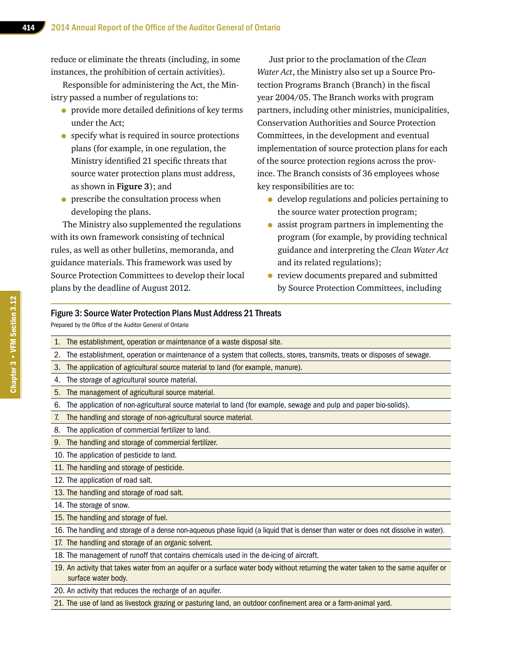reduce or eliminate the threats (including, in some instances, the prohibition of certain activities).

Responsible for administering the Act, the Ministry passed a number of regulations to:

- provide more detailed definitions of key terms under the Act;
- specify what is required in source protections plans (for example, in one regulation, the Ministry identified 21 specific threats that source water protection plans must address, as shown in **Figure 3**); and
- prescribe the consultation process when developing the plans.

The Ministry also supplemented the regulations with its own framework consisting of technical rules, as well as other bulletins, memoranda, and guidance materials. This framework was used by Source Protection Committees to develop their local plans by the deadline of August 2012.

Just prior to the proclamation of the *Clean Water Act*, the Ministry also set up a Source Protection Programs Branch (Branch) in the fiscal year 2004/05. The Branch works with program partners, including other ministries, municipalities, Conservation Authorities and Source Protection Committees, in the development and eventual implementation of source protection plans for each of the source protection regions across the province. The Branch consists of 36 employees whose key responsibilities are to:

- develop regulations and policies pertaining to the source water protection program;
- assist program partners in implementing the program (for example, by providing technical guidance and interpreting the *Clean Water Act* and its related regulations);
- review documents prepared and submitted by Source Protection Committees, including

#### Figure 3: Source Water Protection Plans Must Address 21 Threats

Prepared by the Office of the Auditor General of Ontario

- 1. The establishment, operation or maintenance of a waste disposal site.
- 2. The establishment, operation or maintenance of a system that collects, stores, transmits, treats or disposes of sewage.
- 3. The application of agricultural source material to land (for example, manure).
- 4. The storage of agricultural source material.
- 5. The management of agricultural source material.
- 6. The application of non-agricultural source material to land (for example, sewage and pulp and paper bio-solids).
- 7. The handling and storage of non-agricultural source material.
- 8. The application of commercial fertilizer to land.
- 9. The handling and storage of commercial fertilizer.
- 10. The application of pesticide to land.
- 11. The handling and storage of pesticide.
- 12. The application of road salt.
- 13. The handling and storage of road salt.
- 14. The storage of snow.
- 15. The handling and storage of fuel.
- 16. The handling and storage of a dense non-aqueous phase liquid (a liquid that is denser than water or does not dissolve in water).
- 17. The handling and storage of an organic solvent.
- 18. The management of runoff that contains chemicals used in the de-icing of aircraft.
- 19. An activity that takes water from an aquifer or a surface water body without returning the water taken to the same aquifer or surface water body.
- 20. An activity that reduces the recharge of an aquifer.
- 21. The use of land as livestock grazing or pasturing land, an outdoor confinement area or a farm-animal yard.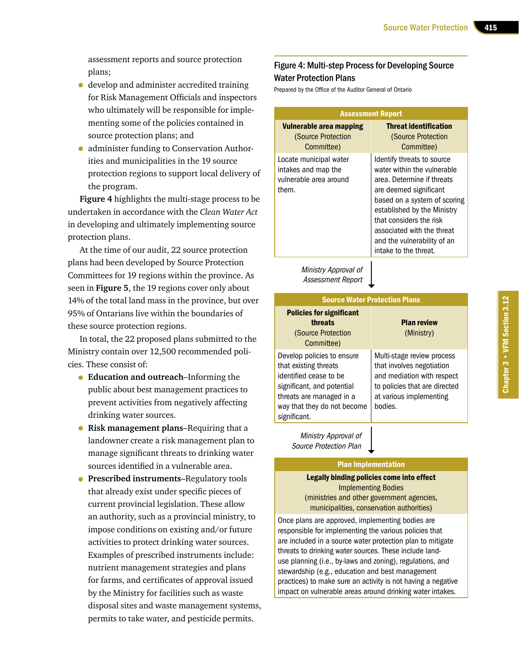assessment reports and source protection plans;

- develop and administer accredited training for Risk Management Officials and inspectors who ultimately will be responsible for implementing some of the policies contained in source protection plans; and
- administer funding to Conservation Authorities and municipalities in the 19 source protection regions to support local delivery of the program.

**Figure 4** highlights the multi-stage process to be undertaken in accordance with the *Clean Water Act* in developing and ultimately implementing source protection plans.

At the time of our audit, 22 source protection plans had been developed by Source Protection Committees for 19 regions within the province. As seen in **Figure 5**, the 19 regions cover only about 14% of the total land mass in the province, but over 95% of Ontarians live within the boundaries of these source protection regions.

In total, the 22 proposed plans submitted to the Ministry contain over 12,500 recommended policies. These consist of:

- **Education and outreach**–Informing the public about best management practices to prevent activities from negatively affecting drinking water sources.
- **Risk management plans**–Requiring that a landowner create a risk management plan to manage significant threats to drinking water sources identified in a vulnerable area.
- **Prescribed instruments**–Regulatory tools that already exist under specific pieces of current provincial legislation. These allow an authority, such as a provincial ministry, to impose conditions on existing and/or future activities to protect drinking water sources. Examples of prescribed instruments include: nutrient management strategies and plans for farms, and certificates of approval issued by the Ministry for facilities such as waste disposal sites and waste management systems, permits to take water, and pesticide permits.

#### Figure 4: Multi-step Process for Developing Source Water Protection Plans

Prepared by the Office of the Auditor General of Ontario

| <b>Assessment Report</b>                                                         |                                                                                                                                                                                                                                                                                                   |  |  |  |  |
|----------------------------------------------------------------------------------|---------------------------------------------------------------------------------------------------------------------------------------------------------------------------------------------------------------------------------------------------------------------------------------------------|--|--|--|--|
| Vulnerable area mapping<br>(Source Protection<br>Committee)                      | <b>Threat identification</b><br>(Source Protection<br>Committee)                                                                                                                                                                                                                                  |  |  |  |  |
| Locate municipal water<br>intakes and map the<br>vulnerable area around<br>them. | Identify threats to source<br>water within the vulnerable<br>area. Determine if threats<br>are deemed significant<br>based on a system of scoring<br>established by the Ministry<br>that considers the risk<br>associated with the threat<br>and the vulnerability of an<br>intake to the threat. |  |  |  |  |
| Ministry Approval of<br><b>Assessment Report</b>                                 |                                                                                                                                                                                                                                                                                                   |  |  |  |  |

| <b>Source Water Protection Plans</b>                                                                                                                                                   |                                                                                                                                                              |  |  |  |
|----------------------------------------------------------------------------------------------------------------------------------------------------------------------------------------|--------------------------------------------------------------------------------------------------------------------------------------------------------------|--|--|--|
| <b>Policies for significant</b><br>threats<br>(Source Protection<br>Committee)                                                                                                         | <b>Plan review</b><br>(Ministry)                                                                                                                             |  |  |  |
| Develop policies to ensure<br>that existing threats<br>identified cease to be<br>significant, and potential<br>threats are managed in a<br>way that they do not become<br>significant. | Multi-stage review process<br>that involves negotiation<br>and mediation with respect<br>to policies that are directed<br>at various implementing<br>bodies. |  |  |  |

Ministry Approval of Source Protection Plan

#### Plan Implementation

Legally binding policies come into effect Implementing Bodies (ministries and other government agencies, municipalities, conservation authorities)

Once plans are approved, implementing bodies are responsible for implementing the various policies that are included in a source water protection plan to mitigate threats to drinking water sources. These include landuse planning (i.e., by-laws and zoning), regulations, and stewardship (e.g., education and best management practices) to make sure an activity is not having a negative impact on vulnerable areas around drinking water intakes.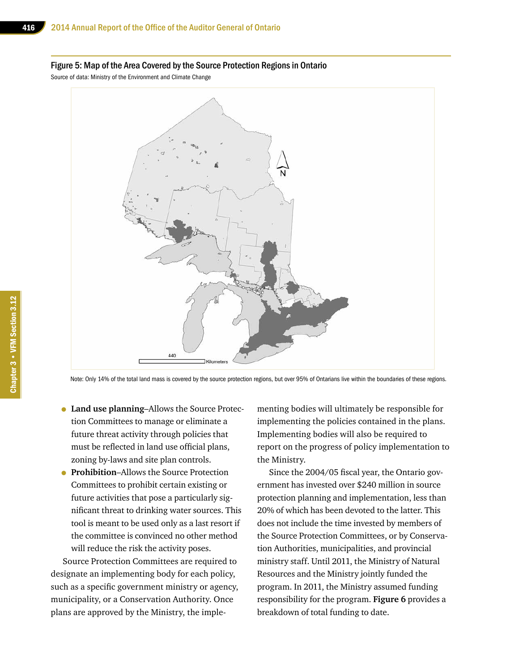#### Figure 5: Map of the Area Covered by the Source Protection Regions in Ontario

Source of data: Ministry of the Environment and Climate Change



Note: Only 14% of the total land mass is covered by the source protection regions, but over 95% of Ontarians live within the boundaries of these regions.

- **Land use planning**–Allows the Source Protection Committees to manage or eliminate a future threat activity through policies that must be reflected in land use official plans, zoning by-laws and site plan controls.
- **Prohibition**–Allows the Source Protection Committees to prohibit certain existing or future activities that pose a particularly significant threat to drinking water sources. This tool is meant to be used only as a last resort if the committee is convinced no other method will reduce the risk the activity poses.

Source Protection Committees are required to designate an implementing body for each policy, such as a specific government ministry or agency, municipality, or a Conservation Authority. Once plans are approved by the Ministry, the implementing bodies will ultimately be responsible for implementing the policies contained in the plans. Implementing bodies will also be required to report on the progress of policy implementation to the Ministry.

Since the 2004/05 fiscal year, the Ontario government has invested over \$240 million in source protection planning and implementation, less than 20% of which has been devoted to the latter. This does not include the time invested by members of the Source Protection Committees, or by Conservation Authorities, municipalities, and provincial ministry staff. Until 2011, the Ministry of Natural Resources and the Ministry jointly funded the program. In 2011, the Ministry assumed funding responsibility for the program. **Figure 6** provides a breakdown of total funding to date.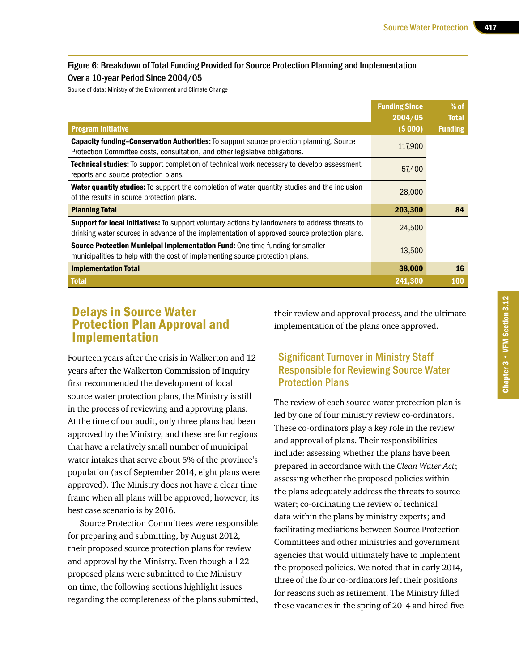#### Figure 6: Breakdown of Total Funding Provided for Source Protection Planning and Implementation Over a 10-year Period Since 2004/05

Source of data: Ministry of the Environment and Climate Change

|                                                                                                                                                                                                 | <b>Funding Since</b><br>2004/05 | $%$ of<br><b>Total</b> |
|-------------------------------------------------------------------------------------------------------------------------------------------------------------------------------------------------|---------------------------------|------------------------|
| <b>Program Initiative</b>                                                                                                                                                                       | (5000)                          | <b>Funding</b>         |
| <b>Capacity funding-Conservation Authorities:</b> To support source protection planning, Source<br>Protection Committee costs, consultation, and other legislative obligations.                 | 117,900                         |                        |
| Technical studies: To support completion of technical work necessary to develop assessment<br>reports and source protection plans.                                                              | 57,400                          |                        |
| <b>Water quantity studies:</b> To support the completion of water quantity studies and the inclusion<br>of the results in source protection plans.                                              | 28,000                          |                        |
| <b>Planning Total</b>                                                                                                                                                                           | 203,300                         | 84                     |
| Support for local initiatives: To support voluntary actions by landowners to address threats to<br>drinking water sources in advance of the implementation of approved source protection plans. | 24,500                          |                        |
| Source Protection Municipal Implementation Fund: One-time funding for smaller<br>municipalities to help with the cost of implementing source protection plans.                                  | 13,500                          |                        |
| <b>Implementation Total</b>                                                                                                                                                                     | 38,000                          | 16                     |
| <b>Total</b>                                                                                                                                                                                    | 241,300                         | <b>100</b>             |

# Delays in Source Water Protection Plan Approval and Implementation

Fourteen years after the crisis in Walkerton and 12 years after the Walkerton Commission of Inquiry first recommended the development of local source water protection plans, the Ministry is still in the process of reviewing and approving plans. At the time of our audit, only three plans had been approved by the Ministry, and these are for regions that have a relatively small number of municipal water intakes that serve about 5% of the province's population (as of September 2014, eight plans were approved). The Ministry does not have a clear time frame when all plans will be approved; however, its best case scenario is by 2016.

Source Protection Committees were responsible for preparing and submitting, by August 2012, their proposed source protection plans for review and approval by the Ministry. Even though all 22 proposed plans were submitted to the Ministry on time, the following sections highlight issues regarding the completeness of the plans submitted,

their review and approval process, and the ultimate implementation of the plans once approved.

# Significant Turnover in Ministry Staff Responsible for Reviewing Source Water Protection Plans

The review of each source water protection plan is led by one of four ministry review co-ordinators. These co-ordinators play a key role in the review and approval of plans. Their responsibilities include: assessing whether the plans have been prepared in accordance with the *Clean Water Act*; assessing whether the proposed policies within the plans adequately address the threats to source water; co-ordinating the review of technical data within the plans by ministry experts; and facilitating mediations between Source Protection Committees and other ministries and government agencies that would ultimately have to implement the proposed policies. We noted that in early 2014, three of the four co-ordinators left their positions for reasons such as retirement. The Ministry filled these vacancies in the spring of 2014 and hired five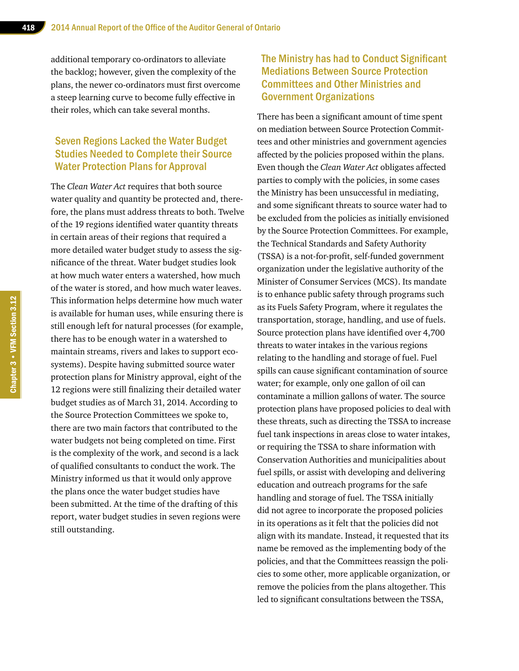additional temporary co-ordinators to alleviate the backlog; however, given the complexity of the plans, the newer co-ordinators must first overcome a steep learning curve to become fully effective in their roles, which can take several months.

### Seven Regions Lacked the Water Budget Studies Needed to Complete their Source Water Protection Plans for Approval

The *Clean Water Act* requires that both source water quality and quantity be protected and, therefore, the plans must address threats to both. Twelve of the 19 regions identified water quantity threats in certain areas of their regions that required a more detailed water budget study to assess the significance of the threat. Water budget studies look at how much water enters a watershed, how much of the water is stored, and how much water leaves. This information helps determine how much water is available for human uses, while ensuring there is still enough left for natural processes (for example, there has to be enough water in a watershed to maintain streams, rivers and lakes to support ecosystems). Despite having submitted source water protection plans for Ministry approval, eight of the 12 regions were still finalizing their detailed water budget studies as of March 31, 2014. According to the Source Protection Committees we spoke to, there are two main factors that contributed to the water budgets not being completed on time. First is the complexity of the work, and second is a lack of qualified consultants to conduct the work. The Ministry informed us that it would only approve the plans once the water budget studies have been submitted. At the time of the drafting of this report, water budget studies in seven regions were still outstanding.

## The Ministry has had to Conduct Significant Mediations Between Source Protection Committees and Other Ministries and Government Organizations

There has been a significant amount of time spent on mediation between Source Protection Committees and other ministries and government agencies affected by the policies proposed within the plans. Even though the *Clean Water Act* obligates affected parties to comply with the policies, in some cases the Ministry has been unsuccessful in mediating, and some significant threats to source water had to be excluded from the policies as initially envisioned by the Source Protection Committees. For example, the Technical Standards and Safety Authority (TSSA) is a not-for-profit, self-funded government organization under the legislative authority of the Minister of Consumer Services (MCS). Its mandate is to enhance public safety through programs such as its Fuels Safety Program, where it regulates the transportation, storage, handling, and use of fuels. Source protection plans have identified over 4,700 threats to water intakes in the various regions relating to the handling and storage of fuel. Fuel spills can cause significant contamination of source water; for example, only one gallon of oil can contaminate a million gallons of water. The source protection plans have proposed policies to deal with these threats, such as directing the TSSA to increase fuel tank inspections in areas close to water intakes, or requiring the TSSA to share information with Conservation Authorities and municipalities about fuel spills, or assist with developing and delivering education and outreach programs for the safe handling and storage of fuel. The TSSA initially did not agree to incorporate the proposed policies in its operations as it felt that the policies did not align with its mandate. Instead, it requested that its name be removed as the implementing body of the policies, and that the Committees reassign the policies to some other, more applicable organization, or remove the policies from the plans altogether. This led to significant consultations between the TSSA,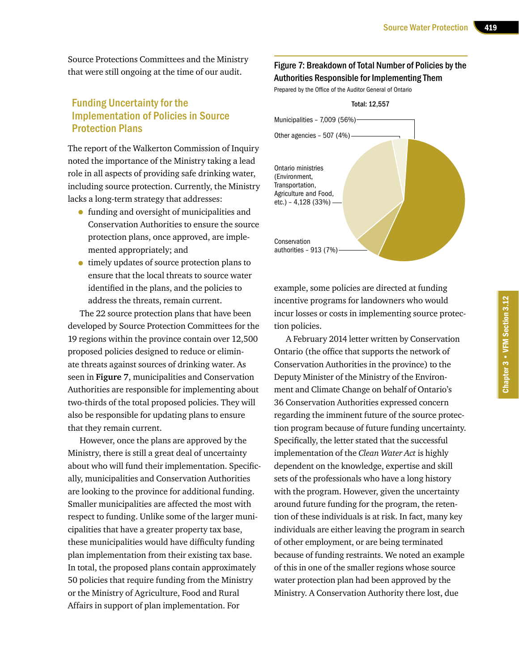Source Protections Committees and the Ministry that were still ongoing at the time of our audit.

### Funding Uncertainty for the Implementation of Policies in Source Protection Plans

The report of the Walkerton Commission of Inquiry noted the importance of the Ministry taking a lead role in all aspects of providing safe drinking water, including source protection. Currently, the Ministry lacks a long-term strategy that addresses:

- funding and oversight of municipalities and Conservation Authorities to ensure the source protection plans, once approved, are implemented appropriately; and
- timely updates of source protection plans to ensure that the local threats to source water identified in the plans, and the policies to address the threats, remain current.

The 22 source protection plans that have been developed by Source Protection Committees for the 19 regions within the province contain over 12,500 proposed policies designed to reduce or eliminate threats against sources of drinking water. As seen in **Figure 7**, municipalities and Conservation Authorities are responsible for implementing about two-thirds of the total proposed policies. They will also be responsible for updating plans to ensure that they remain current.

However, once the plans are approved by the Ministry, there is still a great deal of uncertainty about who will fund their implementation. Specifically, municipalities and Conservation Authorities are looking to the province for additional funding. Smaller municipalities are affected the most with respect to funding. Unlike some of the larger municipalities that have a greater property tax base, these municipalities would have difficulty funding plan implementation from their existing tax base. In total, the proposed plans contain approximately 50 policies that require funding from the Ministry or the Ministry of Agriculture, Food and Rural Affairs in support of plan implementation. For

#### Figure 7: Breakdown of Total Number of Policies by the Authorities Responsible for Implementing Them

Prepared by the Office of the Auditor General of Ontario



example, some policies are directed at funding incentive programs for landowners who would incur losses or costs in implementing source protection policies.

A February 2014 letter written by Conservation Ontario (the office that supports the network of Conservation Authorities in the province) to the Deputy Minister of the Ministry of the Environment and Climate Change on behalf of Ontario's 36 Conservation Authorities expressed concern regarding the imminent future of the source protection program because of future funding uncertainty. Specifically, the letter stated that the successful implementation of the *Clean Water Act* is highly dependent on the knowledge, expertise and skill sets of the professionals who have a long history with the program. However, given the uncertainty around future funding for the program, the retention of these individuals is at risk. In fact, many key individuals are either leaving the program in search of other employment, or are being terminated because of funding restraints. We noted an example of this in one of the smaller regions whose source water protection plan had been approved by the Ministry. A Conservation Authority there lost, due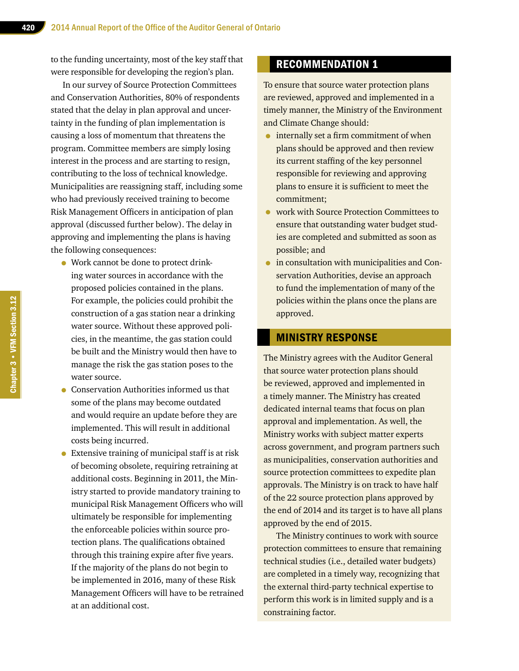to the funding uncertainty, most of the key staff that were responsible for developing the region's plan.

In our survey of Source Protection Committees and Conservation Authorities, 80% of respondents stated that the delay in plan approval and uncertainty in the funding of plan implementation is causing a loss of momentum that threatens the program. Committee members are simply losing interest in the process and are starting to resign, contributing to the loss of technical knowledge. Municipalities are reassigning staff, including some who had previously received training to become Risk Management Officers in anticipation of plan approval (discussed further below). The delay in approving and implementing the plans is having the following consequences:

- Work cannot be done to protect drinking water sources in accordance with the proposed policies contained in the plans. For example, the policies could prohibit the construction of a gas station near a drinking water source. Without these approved policies, in the meantime, the gas station could be built and the Ministry would then have to manage the risk the gas station poses to the water source.
- Conservation Authorities informed us that some of the plans may become outdated and would require an update before they are implemented. This will result in additional costs being incurred.
- Extensive training of municipal staff is at risk of becoming obsolete, requiring retraining at additional costs. Beginning in 2011, the Ministry started to provide mandatory training to municipal Risk Management Officers who will ultimately be responsible for implementing the enforceable policies within source protection plans. The qualifications obtained through this training expire after five years. If the majority of the plans do not begin to be implemented in 2016, many of these Risk Management Officers will have to be retrained at an additional cost.

# RECOMMENDATION 1

To ensure that source water protection plans are reviewed, approved and implemented in a timely manner, the Ministry of the Environment and Climate Change should:

- internally set a firm commitment of when plans should be approved and then review its current staffing of the key personnel responsible for reviewing and approving plans to ensure it is sufficient to meet the commitment;
- work with Source Protection Committees to ensure that outstanding water budget studies are completed and submitted as soon as possible; and
- in consultation with municipalities and Conservation Authorities, devise an approach to fund the implementation of many of the policies within the plans once the plans are approved.

#### MINISTRY RESPONSE

The Ministry agrees with the Auditor General that source water protection plans should be reviewed, approved and implemented in a timely manner. The Ministry has created dedicated internal teams that focus on plan approval and implementation. As well, the Ministry works with subject matter experts across government, and program partners such as municipalities, conservation authorities and source protection committees to expedite plan approvals. The Ministry is on track to have half of the 22 source protection plans approved by the end of 2014 and its target is to have all plans approved by the end of 2015.

The Ministry continues to work with source protection committees to ensure that remaining technical studies (i.e., detailed water budgets) are completed in a timely way, recognizing that the external third-party technical expertise to perform this work is in limited supply and is a constraining factor.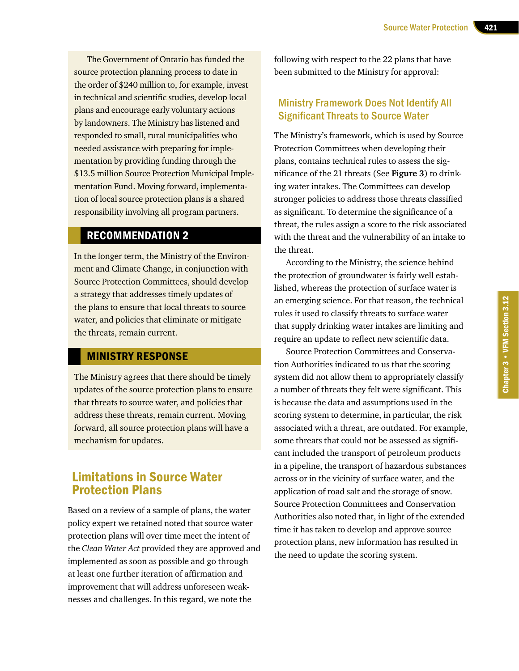The Government of Ontario has funded the source protection planning process to date in the order of \$240 million to, for example, invest in technical and scientific studies, develop local plans and encourage early voluntary actions by landowners. The Ministry has listened and responded to small, rural municipalities who needed assistance with preparing for implementation by providing funding through the \$13.5 million Source Protection Municipal Implementation Fund. Moving forward, implementation of local source protection plans is a shared responsibility involving all program partners.

#### RECOMMENDATION 2

In the longer term, the Ministry of the Environment and Climate Change, in conjunction with Source Protection Committees, should develop a strategy that addresses timely updates of the plans to ensure that local threats to source water, and policies that eliminate or mitigate the threats, remain current.

## MINISTRY RESPONSE

The Ministry agrees that there should be timely updates of the source protection plans to ensure that threats to source water, and policies that address these threats, remain current. Moving forward, all source protection plans will have a mechanism for updates.

# Limitations in Source Water Protection Plans

Based on a review of a sample of plans, the water policy expert we retained noted that source water protection plans will over time meet the intent of the *Clean Water Act* provided they are approved and implemented as soon as possible and go through at least one further iteration of affirmation and improvement that will address unforeseen weaknesses and challenges. In this regard, we note the

following with respect to the 22 plans that have been submitted to the Ministry for approval:

### Ministry Framework Does Not Identify All Significant Threats to Source Water

The Ministry's framework, which is used by Source Protection Committees when developing their plans, contains technical rules to assess the significance of the 21 threats (See **Figure 3**) to drinking water intakes. The Committees can develop stronger policies to address those threats classified as significant. To determine the significance of a threat, the rules assign a score to the risk associated with the threat and the vulnerability of an intake to the threat.

According to the Ministry, the science behind the protection of groundwater is fairly well established, whereas the protection of surface water is an emerging science. For that reason, the technical rules it used to classify threats to surface water that supply drinking water intakes are limiting and require an update to reflect new scientific data.

Source Protection Committees and Conservation Authorities indicated to us that the scoring system did not allow them to appropriately classify a number of threats they felt were significant. This is because the data and assumptions used in the scoring system to determine, in particular, the risk associated with a threat, are outdated. For example, some threats that could not be assessed as significant included the transport of petroleum products in a pipeline, the transport of hazardous substances across or in the vicinity of surface water, and the application of road salt and the storage of snow. Source Protection Committees and Conservation Authorities also noted that, in light of the extended time it has taken to develop and approve source protection plans, new information has resulted in the need to update the scoring system.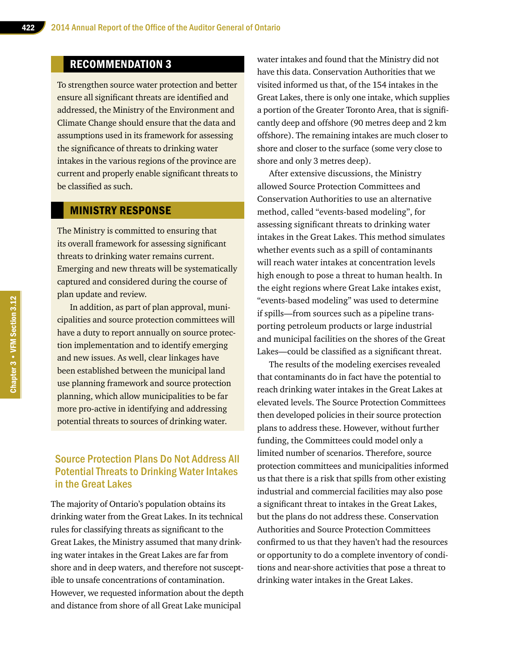# RECOMMENDATION 3

To strengthen source water protection and better ensure all significant threats are identified and addressed, the Ministry of the Environment and Climate Change should ensure that the data and assumptions used in its framework for assessing the significance of threats to drinking water intakes in the various regions of the province are current and properly enable significant threats to be classified as such.

#### MINISTRY RESPONSE

The Ministry is committed to ensuring that its overall framework for assessing significant threats to drinking water remains current. Emerging and new threats will be systematically captured and considered during the course of plan update and review.

In addition, as part of plan approval, municipalities and source protection committees will have a duty to report annually on source protection implementation and to identify emerging and new issues. As well, clear linkages have been established between the municipal land use planning framework and source protection planning, which allow municipalities to be far more pro-active in identifying and addressing potential threats to sources of drinking water.

## Source Protection Plans Do Not Address All Potential Threats to Drinking Water Intakes in the Great Lakes

The majority of Ontario's population obtains its drinking water from the Great Lakes. In its technical rules for classifying threats as significant to the Great Lakes, the Ministry assumed that many drinking water intakes in the Great Lakes are far from shore and in deep waters, and therefore not susceptible to unsafe concentrations of contamination. However, we requested information about the depth and distance from shore of all Great Lake municipal

water intakes and found that the Ministry did not have this data. Conservation Authorities that we visited informed us that, of the 154 intakes in the Great Lakes, there is only one intake, which supplies a portion of the Greater Toronto Area, that is significantly deep and offshore (90 metres deep and 2 km offshore). The remaining intakes are much closer to shore and closer to the surface (some very close to shore and only 3 metres deep).

After extensive discussions, the Ministry allowed Source Protection Committees and Conservation Authorities to use an alternative method, called "events-based modeling", for assessing significant threats to drinking water intakes in the Great Lakes. This method simulates whether events such as a spill of contaminants will reach water intakes at concentration levels high enough to pose a threat to human health. In the eight regions where Great Lake intakes exist, "events-based modeling" was used to determine if spills—from sources such as a pipeline transporting petroleum products or large industrial and municipal facilities on the shores of the Great Lakes—could be classified as a significant threat.

The results of the modeling exercises revealed that contaminants do in fact have the potential to reach drinking water intakes in the Great Lakes at elevated levels. The Source Protection Committees then developed policies in their source protection plans to address these. However, without further funding, the Committees could model only a limited number of scenarios. Therefore, source protection committees and municipalities informed us that there is a risk that spills from other existing industrial and commercial facilities may also pose a significant threat to intakes in the Great Lakes, but the plans do not address these. Conservation Authorities and Source Protection Committees confirmed to us that they haven't had the resources or opportunity to do a complete inventory of conditions and near-shore activities that pose a threat to drinking water intakes in the Great Lakes.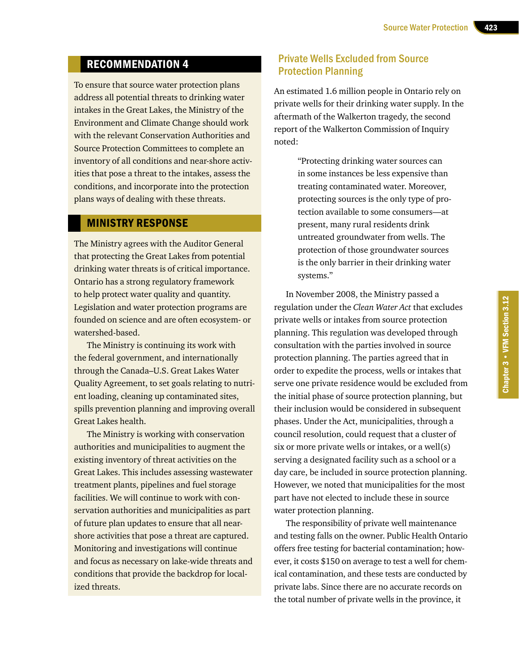# RECOMMENDATION 4

To ensure that source water protection plans address all potential threats to drinking water intakes in the Great Lakes, the Ministry of the Environment and Climate Change should work with the relevant Conservation Authorities and Source Protection Committees to complete an inventory of all conditions and near-shore activities that pose a threat to the intakes, assess the conditions, and incorporate into the protection plans ways of dealing with these threats.

#### MINISTRY RESPONSE

The Ministry agrees with the Auditor General that protecting the Great Lakes from potential drinking water threats is of critical importance. Ontario has a strong regulatory framework to help protect water quality and quantity. Legislation and water protection programs are founded on science and are often ecosystem- or watershed-based.

The Ministry is continuing its work with the federal government, and internationally through the Canada–U.S. Great Lakes Water Quality Agreement, to set goals relating to nutrient loading, cleaning up contaminated sites, spills prevention planning and improving overall Great Lakes health.

The Ministry is working with conservation authorities and municipalities to augment the existing inventory of threat activities on the Great Lakes. This includes assessing wastewater treatment plants, pipelines and fuel storage facilities. We will continue to work with conservation authorities and municipalities as part of future plan updates to ensure that all nearshore activities that pose a threat are captured. Monitoring and investigations will continue and focus as necessary on lake-wide threats and conditions that provide the backdrop for localized threats.

#### Private Wells Excluded from Source Protection Planning

An estimated 1.6 million people in Ontario rely on private wells for their drinking water supply. In the aftermath of the Walkerton tragedy, the second report of the Walkerton Commission of Inquiry noted:

> "Protecting drinking water sources can in some instances be less expensive than treating contaminated water. Moreover, protecting sources is the only type of protection available to some consumers—at present, many rural residents drink untreated groundwater from wells. The protection of those groundwater sources is the only barrier in their drinking water systems."

In November 2008, the Ministry passed a regulation under the *Clean Water Act* that excludes private wells or intakes from source protection planning. This regulation was developed through consultation with the parties involved in source protection planning. The parties agreed that in order to expedite the process, wells or intakes that serve one private residence would be excluded from the initial phase of source protection planning, but their inclusion would be considered in subsequent phases. Under the Act, municipalities, through a council resolution, could request that a cluster of six or more private wells or intakes, or a well(s) serving a designated facility such as a school or a day care, be included in source protection planning. However, we noted that municipalities for the most part have not elected to include these in source water protection planning.

The responsibility of private well maintenance and testing falls on the owner. Public Health Ontario offers free testing for bacterial contamination; however, it costs \$150 on average to test a well for chemical contamination, and these tests are conducted by private labs. Since there are no accurate records on the total number of private wells in the province, it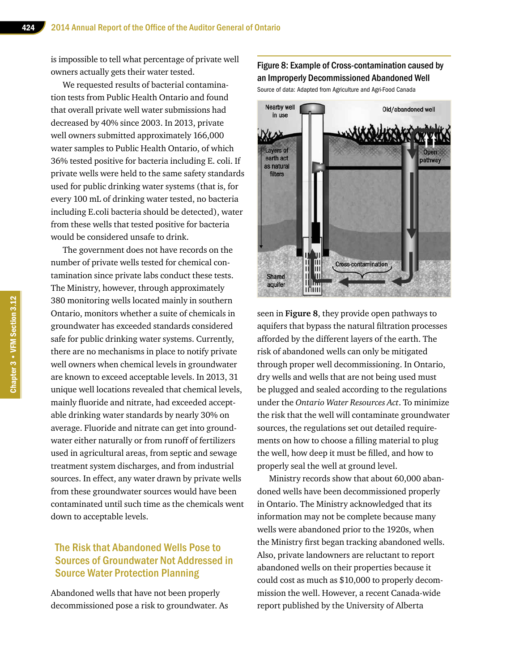is impossible to tell what percentage of private well owners actually gets their water tested.

We requested results of bacterial contamination tests from Public Health Ontario and found that overall private well water submissions had decreased by 40% since 2003. In 2013, private well owners submitted approximately 166,000 water samples to Public Health Ontario, of which 36% tested positive for bacteria including E. coli. If private wells were held to the same safety standards used for public drinking water systems (that is, for every 100 mL of drinking water tested, no bacteria including E.coli bacteria should be detected), water from these wells that tested positive for bacteria would be considered unsafe to drink.

The government does not have records on the number of private wells tested for chemical contamination since private labs conduct these tests. The Ministry, however, through approximately 380 monitoring wells located mainly in southern Ontario, monitors whether a suite of chemicals in groundwater has exceeded standards considered safe for public drinking water systems. Currently, there are no mechanisms in place to notify private well owners when chemical levels in groundwater are known to exceed acceptable levels. In 2013, 31 unique well locations revealed that chemical levels, mainly fluoride and nitrate, had exceeded acceptable drinking water standards by nearly 30% on average. Fluoride and nitrate can get into groundwater either naturally or from runoff of fertilizers used in agricultural areas, from septic and sewage treatment system discharges, and from industrial sources. In effect, any water drawn by private wells from these groundwater sources would have been contaminated until such time as the chemicals went down to acceptable levels.

# The Risk that Abandoned Wells Pose to Sources of Groundwater Not Addressed in Source Water Protection Planning

Abandoned wells that have not been properly decommissioned pose a risk to groundwater. As

#### Figure 8: Example of Cross-contamination caused by an Improperly Decommissioned Abandoned Well

Source of data: Adapted from Agriculture and Agri-Food Canada



seen in **Figure 8**, they provide open pathways to aquifers that bypass the natural filtration processes afforded by the different layers of the earth. The risk of abandoned wells can only be mitigated through proper well decommissioning. In Ontario, dry wells and wells that are not being used must be plugged and sealed according to the regulations under the *Ontario Water Resources Act*. To minimize the risk that the well will contaminate groundwater sources, the regulations set out detailed requirements on how to choose a filling material to plug the well, how deep it must be filled, and how to properly seal the well at ground level.

Ministry records show that about 60,000 abandoned wells have been decommissioned properly in Ontario. The Ministry acknowledged that its information may not be complete because many wells were abandoned prior to the 1920s, when the Ministry first began tracking abandoned wells. Also, private landowners are reluctant to report abandoned wells on their properties because it could cost as much as \$10,000 to properly decommission the well. However, a recent Canada-wide report published by the University of Alberta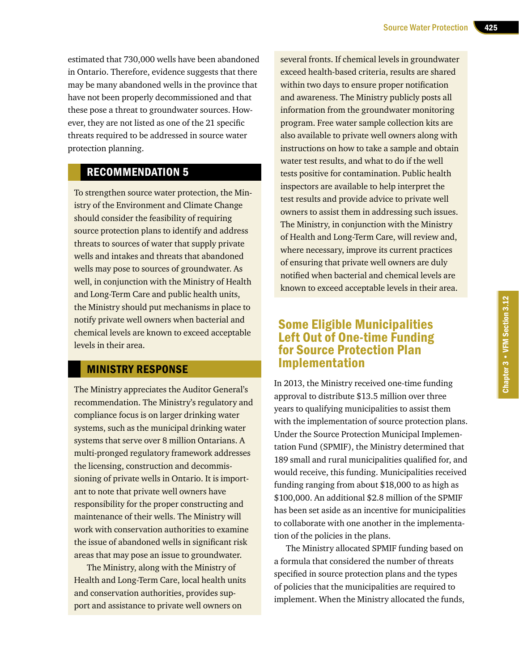estimated that 730,000 wells have been abandoned in Ontario. Therefore, evidence suggests that there may be many abandoned wells in the province that have not been properly decommissioned and that these pose a threat to groundwater sources. However, they are not listed as one of the 21 specific threats required to be addressed in source water protection planning.

# RECOMMENDATION 5

To strengthen source water protection, the Ministry of the Environment and Climate Change should consider the feasibility of requiring source protection plans to identify and address threats to sources of water that supply private wells and intakes and threats that abandoned wells may pose to sources of groundwater. As well, in conjunction with the Ministry of Health and Long-Term Care and public health units, the Ministry should put mechanisms in place to notify private well owners when bacterial and chemical levels are known to exceed acceptable levels in their area.

# MINISTRY RESPONSE

The Ministry appreciates the Auditor General's recommendation. The Ministry's regulatory and compliance focus is on larger drinking water systems, such as the municipal drinking water systems that serve over 8 million Ontarians. A multi-pronged regulatory framework addresses the licensing, construction and decommissioning of private wells in Ontario. It is important to note that private well owners have responsibility for the proper constructing and maintenance of their wells. The Ministry will work with conservation authorities to examine the issue of abandoned wells in significant risk areas that may pose an issue to groundwater.

The Ministry, along with the Ministry of Health and Long-Term Care, local health units and conservation authorities, provides support and assistance to private well owners on

several fronts. If chemical levels in groundwater exceed health-based criteria, results are shared within two days to ensure proper notification and awareness. The Ministry publicly posts all information from the groundwater monitoring program. Free water sample collection kits are also available to private well owners along with instructions on how to take a sample and obtain water test results, and what to do if the well tests positive for contamination. Public health inspectors are available to help interpret the test results and provide advice to private well owners to assist them in addressing such issues. The Ministry, in conjunction with the Ministry of Health and Long-Term Care, will review and, where necessary, improve its current practices of ensuring that private well owners are duly notified when bacterial and chemical levels are known to exceed acceptable levels in their area.

# Some Eligible Municipalities Left Out of One-time Funding for Source Protection Plan Implementation

In 2013, the Ministry received one-time funding approval to distribute \$13.5 million over three years to qualifying municipalities to assist them with the implementation of source protection plans. Under the Source Protection Municipal Implementation Fund (SPMIF), the Ministry determined that 189 small and rural municipalities qualified for, and would receive, this funding. Municipalities received funding ranging from about \$18,000 to as high as \$100,000. An additional \$2.8 million of the SPMIF has been set aside as an incentive for municipalities to collaborate with one another in the implementation of the policies in the plans.

The Ministry allocated SPMIF funding based on a formula that considered the number of threats specified in source protection plans and the types of policies that the municipalities are required to implement. When the Ministry allocated the funds,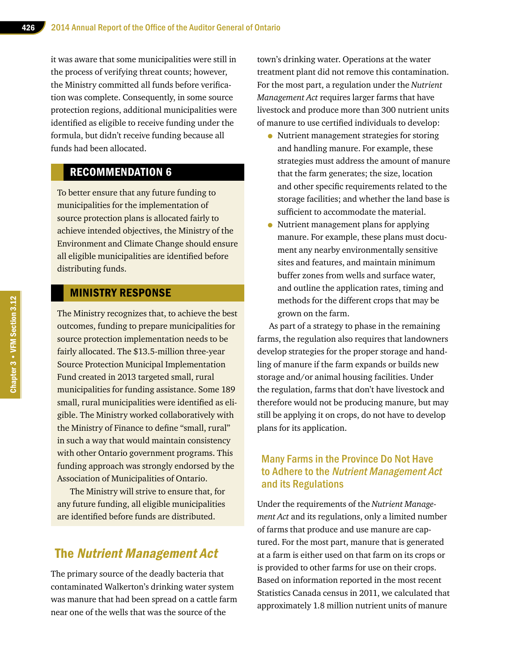it was aware that some municipalities were still in the process of verifying threat counts; however, the Ministry committed all funds before verification was complete. Consequently, in some source protection regions, additional municipalities were identified as eligible to receive funding under the formula, but didn't receive funding because all funds had been allocated.

# RECOMMENDATION 6

To better ensure that any future funding to municipalities for the implementation of source protection plans is allocated fairly to achieve intended objectives, the Ministry of the Environment and Climate Change should ensure all eligible municipalities are identified before distributing funds.

### MINISTRY RESPONSE

The Ministry recognizes that, to achieve the best outcomes, funding to prepare municipalities for source protection implementation needs to be fairly allocated. The \$13.5-million three-year Source Protection Municipal Implementation Fund created in 2013 targeted small, rural municipalities for funding assistance. Some 189 small, rural municipalities were identified as eligible. The Ministry worked collaboratively with the Ministry of Finance to define "small, rural" in such a way that would maintain consistency with other Ontario government programs. This funding approach was strongly endorsed by the Association of Municipalities of Ontario.

The Ministry will strive to ensure that, for any future funding, all eligible municipalities are identified before funds are distributed.

# The Nutrient Management Act

The primary source of the deadly bacteria that contaminated Walkerton's drinking water system was manure that had been spread on a cattle farm near one of the wells that was the source of the

town's drinking water. Operations at the water treatment plant did not remove this contamination. For the most part, a regulation under the *Nutrient Management Act* requires larger farms that have livestock and produce more than 300 nutrient units of manure to use certified individuals to develop:

- Nutrient management strategies for storing and handling manure. For example, these strategies must address the amount of manure that the farm generates; the size, location and other specific requirements related to the storage facilities; and whether the land base is sufficient to accommodate the material.
- Nutrient management plans for applying manure. For example, these plans must document any nearby environmentally sensitive sites and features, and maintain minimum buffer zones from wells and surface water, and outline the application rates, timing and methods for the different crops that may be grown on the farm.

As part of a strategy to phase in the remaining farms, the regulation also requires that landowners develop strategies for the proper storage and handling of manure if the farm expands or builds new storage and/or animal housing facilities. Under the regulation, farms that don't have livestock and therefore would not be producing manure, but may still be applying it on crops, do not have to develop plans for its application.

#### Many Farms in the Province Do Not Have to Adhere to the Nutrient Management Act and its Regulations

Under the requirements of the *Nutrient Management Act* and its regulations, only a limited number of farms that produce and use manure are captured. For the most part, manure that is generated at a farm is either used on that farm on its crops or is provided to other farms for use on their crops. Based on information reported in the most recent Statistics Canada census in 2011, we calculated that approximately 1.8 million nutrient units of manure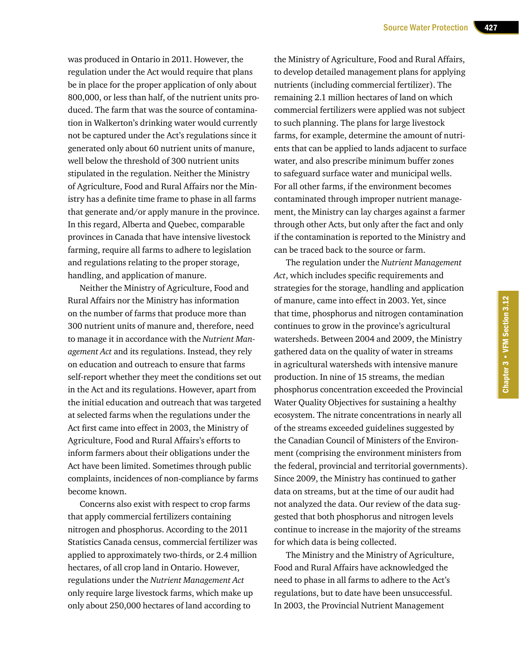was produced in Ontario in 2011. However, the regulation under the Act would require that plans be in place for the proper application of only about 800,000, or less than half, of the nutrient units produced. The farm that was the source of contamination in Walkerton's drinking water would currently not be captured under the Act's regulations since it generated only about 60 nutrient units of manure, well below the threshold of 300 nutrient units stipulated in the regulation. Neither the Ministry of Agriculture, Food and Rural Affairs nor the Ministry has a definite time frame to phase in all farms that generate and/or apply manure in the province. In this regard, Alberta and Quebec, comparable provinces in Canada that have intensive livestock farming, require all farms to adhere to legislation and regulations relating to the proper storage, handling, and application of manure.

Neither the Ministry of Agriculture, Food and Rural Affairs nor the Ministry has information on the number of farms that produce more than 300 nutrient units of manure and, therefore, need to manage it in accordance with the *Nutrient Management Act* and its regulations. Instead, they rely on education and outreach to ensure that farms self-report whether they meet the conditions set out in the Act and its regulations. However, apart from the initial education and outreach that was targeted at selected farms when the regulations under the Act first came into effect in 2003, the Ministry of Agriculture, Food and Rural Affairs's efforts to inform farmers about their obligations under the Act have been limited. Sometimes through public complaints, incidences of non-compliance by farms become known.

Concerns also exist with respect to crop farms that apply commercial fertilizers containing nitrogen and phosphorus. According to the 2011 Statistics Canada census, commercial fertilizer was applied to approximately two-thirds, or 2.4 million hectares, of all crop land in Ontario. However, regulations under the *Nutrient Management Act* only require large livestock farms, which make up only about 250,000 hectares of land according to

the Ministry of Agriculture, Food and Rural Affairs, to develop detailed management plans for applying nutrients (including commercial fertilizer). The remaining 2.1 million hectares of land on which commercial fertilizers were applied was not subject to such planning. The plans for large livestock farms, for example, determine the amount of nutrients that can be applied to lands adjacent to surface water, and also prescribe minimum buffer zones to safeguard surface water and municipal wells. For all other farms, if the environment becomes contaminated through improper nutrient management, the Ministry can lay charges against a farmer through other Acts, but only after the fact and only if the contamination is reported to the Ministry and can be traced back to the source or farm.

The regulation under the *Nutrient Management Act*, which includes specific requirements and strategies for the storage, handling and application of manure, came into effect in 2003. Yet, since that time, phosphorus and nitrogen contamination continues to grow in the province's agricultural watersheds. Between 2004 and 2009, the Ministry gathered data on the quality of water in streams in agricultural watersheds with intensive manure production. In nine of 15 streams, the median phosphorus concentration exceeded the Provincial Water Quality Objectives for sustaining a healthy ecosystem. The nitrate concentrations in nearly all of the streams exceeded guidelines suggested by the Canadian Council of Ministers of the Environment (comprising the environment ministers from the federal, provincial and territorial governments). Since 2009, the Ministry has continued to gather data on streams, but at the time of our audit had not analyzed the data. Our review of the data suggested that both phosphorus and nitrogen levels continue to increase in the majority of the streams for which data is being collected.

The Ministry and the Ministry of Agriculture, Food and Rural Affairs have acknowledged the need to phase in all farms to adhere to the Act's regulations, but to date have been unsuccessful. In 2003, the Provincial Nutrient Management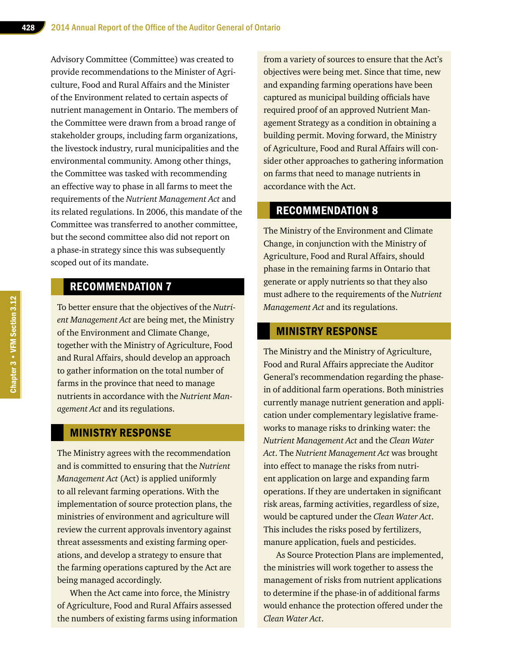Advisory Committee (Committee) was created to provide recommendations to the Minister of Agriculture, Food and Rural Affairs and the Minister of the Environment related to certain aspects of nutrient management in Ontario. The members of the Committee were drawn from a broad range of stakeholder groups, including farm organizations, the livestock industry, rural municipalities and the environmental community. Among other things, the Committee was tasked with recommending an effective way to phase in all farms to meet the requirements of the *Nutrient Management Act* and its related regulations. In 2006, this mandate of the Committee was transferred to another committee, but the second committee also did not report on a phase-in strategy since this was subsequently scoped out of its mandate.

## RECOMMENDATION 7

To better ensure that the objectives of the *Nutrient Management Act* are being met, the Ministry of the Environment and Climate Change, together with the Ministry of Agriculture, Food and Rural Affairs, should develop an approach to gather information on the total number of farms in the province that need to manage nutrients in accordance with the *Nutrient Management Act* and its regulations.

#### MINISTRY RESPONSE

The Ministry agrees with the recommendation and is committed to ensuring that the *Nutrient Management Act* (Act) is applied uniformly to all relevant farming operations. With the implementation of source protection plans, the ministries of environment and agriculture will review the current approvals inventory against threat assessments and existing farming operations, and develop a strategy to ensure that the farming operations captured by the Act are being managed accordingly.

When the Act came into force, the Ministry of Agriculture, Food and Rural Affairs assessed the numbers of existing farms using information

from a variety of sources to ensure that the Act's objectives were being met. Since that time, new and expanding farming operations have been captured as municipal building officials have required proof of an approved Nutrient Management Strategy as a condition in obtaining a building permit. Moving forward, the Ministry of Agriculture, Food and Rural Affairs will consider other approaches to gathering information on farms that need to manage nutrients in accordance with the Act.

# RECOMMENDATION 8

The Ministry of the Environment and Climate Change, in conjunction with the Ministry of Agriculture, Food and Rural Affairs, should phase in the remaining farms in Ontario that generate or apply nutrients so that they also must adhere to the requirements of the *Nutrient Management Act* and its regulations.

#### MINISTRY RESPONSE

The Ministry and the Ministry of Agriculture, Food and Rural Affairs appreciate the Auditor General's recommendation regarding the phasein of additional farm operations. Both ministries currently manage nutrient generation and application under complementary legislative frameworks to manage risks to drinking water: the *Nutrient Management Act* and the *Clean Water Act*. The *Nutrient Management Act* was brought into effect to manage the risks from nutrient application on large and expanding farm operations. If they are undertaken in significant risk areas, farming activities, regardless of size, would be captured under the *Clean Water Act*. This includes the risks posed by fertilizers, manure application, fuels and pesticides.

As Source Protection Plans are implemented, the ministries will work together to assess the management of risks from nutrient applications to determine if the phase-in of additional farms would enhance the protection offered under the *Clean Water Act*.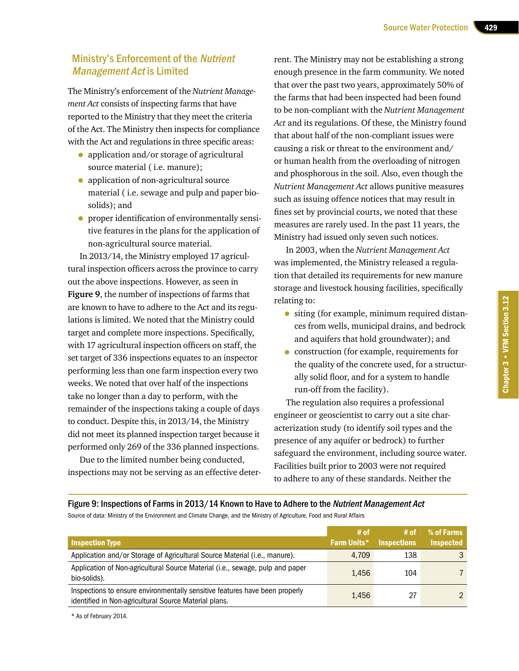# Ministry's Enforcement of the Nutrient Management Act is Limited

The Ministry's enforcement of the *Nutrient Management Act* consists of inspecting farms that have reported to the Ministry that they meet the criteria of the Act. The Ministry then inspects for compliance with the Act and regulations in three specific areas:

- application and/or storage of agricultural source material ( i.e. manure);
- application of non-agricultural source material ( i.e. sewage and pulp and paper biosolids); and
- proper identification of environmentally sensitive features in the plans for the application of non-agricultural source material.

In 2013/14, the Ministry employed 17 agricultural inspection officers across the province to carry out the above inspections. However, as seen in **Figure 9**, the number of inspections of farms that are known to have to adhere to the Act and its regulations is limited. We noted that the Ministry could target and complete more inspections. Specifically, with 17 agricultural inspection officers on staff, the set target of 336 inspections equates to an inspector performing less than one farm inspection every two weeks. We noted that over half of the inspections take no longer than a day to perform, with the remainder of the inspections taking a couple of days to conduct. Despite this, in 2013/14, the Ministry did not meet its planned inspection target because it performed only 269 of the 336 planned inspections.

Due to the limited number being conducted, inspections may not be serving as an effective deter-

rent. The Ministry may not be establishing a strong enough presence in the farm community. We noted that over the past two years, approximately 50% of the farms that had been inspected had been found to be non-compliant with the *Nutrient Management Act* and its regulations. Of these, the Ministry found that about half of the non-compliant issues were causing a risk or threat to the environment and/ or human health from the overloading of nitrogen and phosphorous in the soil. Also, even though the *Nutrient Management Act* allows punitive measures such as issuing offence notices that may result in fines set by provincial courts, we noted that these measures are rarely used. In the past 11 years, the Ministry had issued only seven such notices.

In 2003, when the *Nutrient Management Act* was implemented, the Ministry released a regulation that detailed its requirements for new manure storage and livestock housing facilities, specifically relating to:

- siting (for example, minimum required distances from wells, municipal drains, and bedrock and aquifers that hold groundwater); and
- construction (for example, requirements for the quality of the concrete used, for a structurally solid floor, and for a system to handle run-off from the facility).

The regulation also requires a professional engineer or geoscientist to carry out a site characterization study (to identify soil types and the presence of any aquifer or bedrock) to further safeguard the environment, including source water. Facilities built prior to 2003 were not required to adhere to any of these standards. Neither the

Figure 9: Inspections of Farms in 2013/14 Known to Have to Adhere to the Nutrient Management Act Source of data: Ministry of the Environment and Climate Change, and the Ministry of Agriculture, Food and Rural Affairs

|                                                                                                                                      | # of               | # of               | % of Farms       |
|--------------------------------------------------------------------------------------------------------------------------------------|--------------------|--------------------|------------------|
| <b>Inspection Type</b>                                                                                                               | <b>Farm Units*</b> | <b>Inspections</b> | <b>Inspected</b> |
| Application and/or Storage of Agricultural Source Material (i.e., manure).                                                           | 4.709              | 138                |                  |
| Application of Non-agricultural Source Material (i.e., sewage, pulp and paper<br>bio-solids).                                        | 1.456              | 104                |                  |
| Inspections to ensure environmentally sensitive features have been properly<br>identified in Non-agricultural Source Material plans. | 1.456              | 27                 |                  |

\* As of February 2014.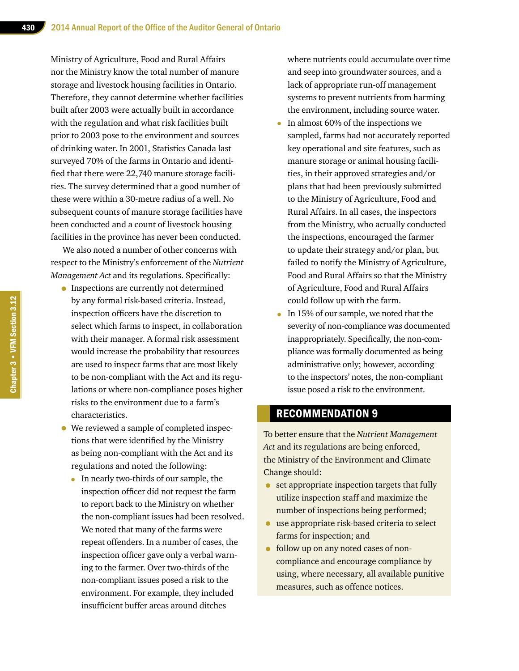Ministry of Agriculture, Food and Rural Affairs nor the Ministry know the total number of manure storage and livestock housing facilities in Ontario. Therefore, they cannot determine whether facilities built after 2003 were actually built in accordance with the regulation and what risk facilities built prior to 2003 pose to the environment and sources of drinking water. In 2001, Statistics Canada last surveyed 70% of the farms in Ontario and identified that there were 22,740 manure storage facilities. The survey determined that a good number of these were within a 30-metre radius of a well. No subsequent counts of manure storage facilities have been conducted and a count of livestock housing facilities in the province has never been conducted.

We also noted a number of other concerns with respect to the Ministry's enforcement of the *Nutrient Management Act* and its regulations. Specifically:

- Inspections are currently not determined by any formal risk-based criteria. Instead, inspection officers have the discretion to select which farms to inspect, in collaboration with their manager. A formal risk assessment would increase the probability that resources are used to inspect farms that are most likely to be non-compliant with the Act and its regulations or where non-compliance poses higher risks to the environment due to a farm's characteristics.
- We reviewed a sample of completed inspections that were identified by the Ministry as being non-compliant with the Act and its regulations and noted the following:
	- In nearly two-thirds of our sample, the inspection officer did not request the farm to report back to the Ministry on whether the non-compliant issues had been resolved. We noted that many of the farms were repeat offenders. In a number of cases, the inspection officer gave only a verbal warning to the farmer. Over two-thirds of the non-compliant issues posed a risk to the environment. For example, they included insufficient buffer areas around ditches

where nutrients could accumulate over time and seep into groundwater sources, and a lack of appropriate run-off management systems to prevent nutrients from harming the environment, including source water.

- In almost 60% of the inspections we sampled, farms had not accurately reported key operational and site features, such as manure storage or animal housing facilities, in their approved strategies and/or plans that had been previously submitted to the Ministry of Agriculture, Food and Rural Affairs. In all cases, the inspectors from the Ministry, who actually conducted the inspections, encouraged the farmer to update their strategy and/or plan, but failed to notify the Ministry of Agriculture, Food and Rural Affairs so that the Ministry of Agriculture, Food and Rural Affairs could follow up with the farm.
- In 15% of our sample, we noted that the severity of non-compliance was documented inappropriately. Specifically, the non-compliance was formally documented as being administrative only; however, according to the inspectors' notes, the non-compliant issue posed a risk to the environment.

#### RECOMMENDATION 9

To better ensure that the *Nutrient Management Act* and its regulations are being enforced, the Ministry of the Environment and Climate Change should:

- set appropriate inspection targets that fully utilize inspection staff and maximize the number of inspections being performed;
- use appropriate risk-based criteria to select farms for inspection; and
- follow up on any noted cases of noncompliance and encourage compliance by using, where necessary, all available punitive measures, such as offence notices.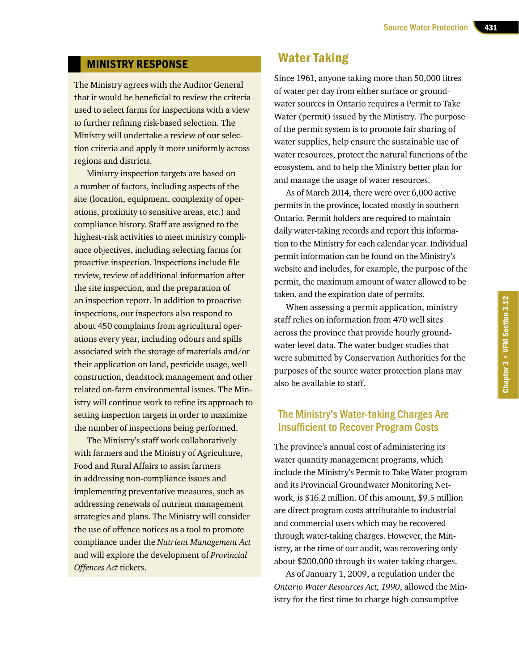#### MINISTRY RESPONSE

The Ministry agrees with the Auditor General that it would be beneficial to review the criteria used to select farms for inspections with a view to further refining risk-based selection. The Ministry will undertake a review of our selection criteria and apply it more uniformly across regions and districts.

Ministry inspection targets are based on a number of factors, including aspects of the site (location, equipment, complexity of operations, proximity to sensitive areas, etc.) and compliance history. Staff are assigned to the highest-risk activities to meet ministry compliance objectives, including selecting farms for proactive inspection. Inspections include file review, review of additional information after the site inspection, and the preparation of an inspection report. In addition to proactive inspections, our inspectors also respond to about 450 complaints from agricultural operations every year, including odours and spills associated with the storage of materials and/or their application on land, pesticide usage, well construction, deadstock management and other related on-farm environmental issues. The Ministry will continue work to refine its approach to setting inspection targets in order to maximize the number of inspections being performed.

The Ministry's staff work collaboratively with farmers and the Ministry of Agriculture, Food and Rural Affairs to assist farmers in addressing non-compliance issues and implementing preventative measures, such as addressing renewals of nutrient management strategies and plans. The Ministry will consider the use of offence notices as a tool to promote compliance under the *Nutrient Management Act* and will explore the development of *Provincial Offences Act* tickets.

# Water Taking

Since 1961, anyone taking more than 50,000 litres of water per day from either surface or groundwater sources in Ontario requires a Permit to Take Water (permit) issued by the Ministry. The purpose of the permit system is to promote fair sharing of water supplies, help ensure the sustainable use of water resources, protect the natural functions of the ecosystem, and to help the Ministry better plan for and manage the usage of water resources.

As of March 2014, there were over 6,000 active permits in the province, located mostly in southern Ontario. Permit holders are required to maintain daily water-taking records and report this information to the Ministry for each calendar year. Individual permit information can be found on the Ministry's website and includes, for example, the purpose of the permit, the maximum amount of water allowed to be taken, and the expiration date of permits.

When assessing a permit application, ministry staff relies on information from 470 well sites across the province that provide hourly groundwater level data. The water budget studies that were submitted by Conservation Authorities for the purposes of the source water protection plans may also be available to staff.

## The Ministry's Water-taking Charges Are Insufficient to Recover Program Costs

The province's annual cost of administering its water quantity management programs, which include the Ministry's Permit to Take Water program and its Provincial Groundwater Monitoring Network, is \$16.2 million. Of this amount, \$9.5 million are direct program costs attributable to industrial and commercial users which may be recovered through water-taking charges. However, the Ministry, at the time of our audit, was recovering only about \$200,000 through its water-taking charges.

As of January 1, 2009, a regulation under the *Ontario Water Resources Act, 1990*, allowed the Ministry for the first time to charge high-consumptive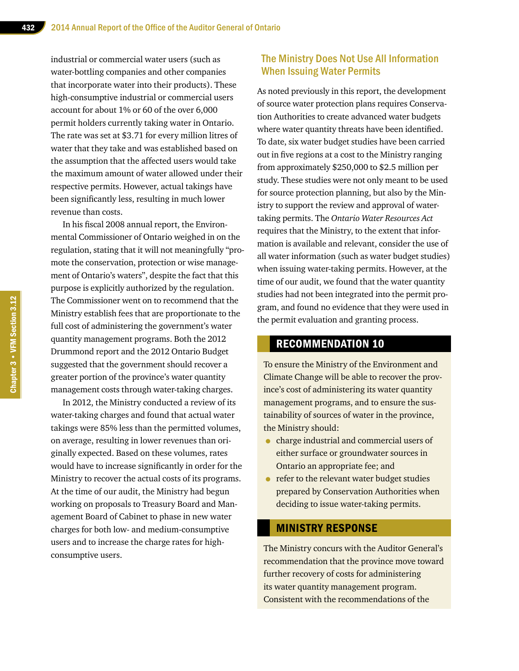industrial or commercial water users (such as water-bottling companies and other companies that incorporate water into their products). These high-consumptive industrial or commercial users account for about 1% or 60 of the over 6,000 permit holders currently taking water in Ontario. The rate was set at \$3.71 for every million litres of water that they take and was established based on the assumption that the affected users would take the maximum amount of water allowed under their respective permits. However, actual takings have been significantly less, resulting in much lower revenue than costs.

In his fiscal 2008 annual report, the Environmental Commissioner of Ontario weighed in on the regulation, stating that it will not meaningfully "promote the conservation, protection or wise management of Ontario's waters", despite the fact that this purpose is explicitly authorized by the regulation. The Commissioner went on to recommend that the Ministry establish fees that are proportionate to the full cost of administering the government's water quantity management programs. Both the 2012 Drummond report and the 2012 Ontario Budget suggested that the government should recover a greater portion of the province's water quantity management costs through water-taking charges.

In 2012, the Ministry conducted a review of its water-taking charges and found that actual water takings were 85% less than the permitted volumes, on average, resulting in lower revenues than originally expected. Based on these volumes, rates would have to increase significantly in order for the Ministry to recover the actual costs of its programs. At the time of our audit, the Ministry had begun working on proposals to Treasury Board and Management Board of Cabinet to phase in new water charges for both low- and medium-consumptive users and to increase the charge rates for highconsumptive users.

#### The Ministry Does Not Use All Information When Issuing Water Permits

As noted previously in this report, the development of source water protection plans requires Conservation Authorities to create advanced water budgets where water quantity threats have been identified. To date, six water budget studies have been carried out in five regions at a cost to the Ministry ranging from approximately \$250,000 to \$2.5 million per study. These studies were not only meant to be used for source protection planning, but also by the Ministry to support the review and approval of watertaking permits. The *Ontario Water Resources Act*  requires that the Ministry, to the extent that information is available and relevant, consider the use of all water information (such as water budget studies) when issuing water-taking permits. However, at the time of our audit, we found that the water quantity studies had not been integrated into the permit program, and found no evidence that they were used in the permit evaluation and granting process.

# RECOMMENDATION 10

To ensure the Ministry of the Environment and Climate Change will be able to recover the province's cost of administering its water quantity management programs, and to ensure the sustainability of sources of water in the province, the Ministry should:

- charge industrial and commercial users of either surface or groundwater sources in Ontario an appropriate fee; and
- refer to the relevant water budget studies prepared by Conservation Authorities when deciding to issue water-taking permits.

### MINISTRY RESPONSE

The Ministry concurs with the Auditor General's recommendation that the province move toward further recovery of costs for administering its water quantity management program. Consistent with the recommendations of the